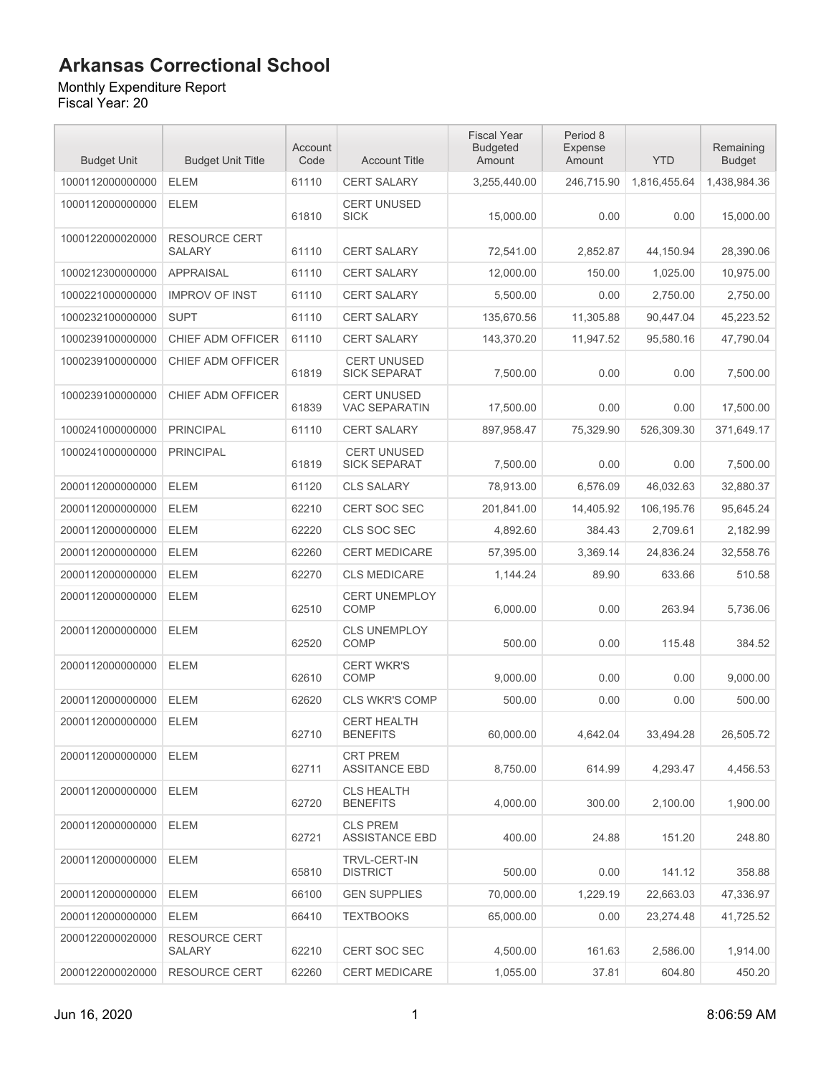#### Monthly Expenditure Report

| <b>Budget Unit</b> | <b>Budget Unit Title</b>              | Account<br>Code | <b>Account Title</b>                       | <b>Fiscal Year</b><br><b>Budgeted</b><br>Amount | Period 8<br>Expense<br>Amount | <b>YTD</b>   | Remaining<br><b>Budget</b> |
|--------------------|---------------------------------------|-----------------|--------------------------------------------|-------------------------------------------------|-------------------------------|--------------|----------------------------|
| 1000112000000000   | <b>ELEM</b>                           | 61110           | <b>CERT SALARY</b>                         | 3,255,440.00                                    | 246,715.90                    | 1,816,455.64 | 1,438,984.36               |
| 1000112000000000   | <b>ELEM</b>                           | 61810           | <b>CERT UNUSED</b><br><b>SICK</b>          | 15,000.00                                       | 0.00                          | 0.00         | 15,000.00                  |
| 1000122000020000   | <b>RESOURCE CERT</b><br><b>SALARY</b> | 61110           | <b>CERT SALARY</b>                         | 72,541.00                                       | 2,852.87                      | 44,150.94    | 28,390.06                  |
| 1000212300000000   | <b>APPRAISAL</b>                      | 61110           | <b>CERT SALARY</b>                         | 12,000.00                                       | 150.00                        | 1,025.00     | 10,975.00                  |
| 1000221000000000   | <b>IMPROV OF INST</b>                 | 61110           | <b>CERT SALARY</b>                         | 5,500.00                                        | 0.00                          | 2,750.00     | 2,750.00                   |
| 1000232100000000   | <b>SUPT</b>                           | 61110           | <b>CERT SALARY</b>                         | 135,670.56                                      | 11,305.88                     | 90,447.04    | 45,223.52                  |
| 1000239100000000   | CHIEF ADM OFFICER                     | 61110           | <b>CERT SALARY</b>                         | 143,370.20                                      | 11,947.52                     | 95,580.16    | 47,790.04                  |
| 1000239100000000   | CHIEF ADM OFFICER                     | 61819           | <b>CERT UNUSED</b><br><b>SICK SEPARAT</b>  | 7,500.00                                        | 0.00                          | 0.00         | 7,500.00                   |
| 1000239100000000   | <b>CHIEF ADM OFFICER</b>              | 61839           | <b>CERT UNUSED</b><br><b>VAC SEPARATIN</b> | 17,500.00                                       | 0.00                          | 0.00         | 17,500.00                  |
| 1000241000000000   | <b>PRINCIPAL</b>                      | 61110           | CERT SALARY                                | 897,958.47                                      | 75,329.90                     | 526,309.30   | 371,649.17                 |
| 1000241000000000   | <b>PRINCIPAL</b>                      | 61819           | <b>CERT UNUSED</b><br><b>SICK SEPARAT</b>  | 7,500.00                                        | 0.00                          | 0.00         | 7,500.00                   |
| 2000112000000000   | <b>ELEM</b>                           | 61120           | <b>CLS SALARY</b>                          | 78,913.00                                       | 6,576.09                      | 46,032.63    | 32,880.37                  |
| 2000112000000000   | <b>ELEM</b>                           | 62210           | <b>CERT SOC SEC</b>                        | 201,841.00                                      | 14,405.92                     | 106,195.76   | 95,645.24                  |
| 2000112000000000   | <b>ELEM</b>                           | 62220           | CLS SOC SEC                                | 4,892.60                                        | 384.43                        | 2,709.61     | 2,182.99                   |
| 2000112000000000   | <b>ELEM</b>                           | 62260           | <b>CERT MEDICARE</b>                       | 57,395.00                                       | 3,369.14                      | 24,836.24    | 32,558.76                  |
| 2000112000000000   | <b>ELEM</b>                           | 62270           | <b>CLS MEDICARE</b>                        | 1,144.24                                        | 89.90                         | 633.66       | 510.58                     |
| 2000112000000000   | <b>ELEM</b>                           | 62510           | <b>CERT UNEMPLOY</b><br><b>COMP</b>        | 6,000.00                                        | 0.00                          | 263.94       | 5,736.06                   |
| 2000112000000000   | <b>ELEM</b>                           | 62520           | <b>CLS UNEMPLOY</b><br><b>COMP</b>         | 500.00                                          | 0.00                          | 115.48       | 384.52                     |
| 2000112000000000   | <b>ELEM</b>                           | 62610           | <b>CERT WKR'S</b><br><b>COMP</b>           | 9,000.00                                        | 0.00                          | 0.00         | 9,000.00                   |
| 2000112000000000   | <b>ELEM</b>                           | 62620           | <b>CLS WKR'S COMP</b>                      | 500.00                                          | 0.00                          | 0.00         | 500.00                     |
| 2000112000000000   | <b>ELEM</b>                           | 62710           | <b>CERT HEALTH</b><br><b>BENEFITS</b>      | 60,000.00                                       | 4,642.04                      | 33,494.28    | 26,505.72                  |
| 2000112000000000   | <b>ELEM</b>                           | 62711           | <b>CRT PREM</b><br><b>ASSITANCE EBD</b>    | 8,750.00                                        | 614.99                        | 4,293.47     | 4,456.53                   |
| 2000112000000000   | <b>ELEM</b>                           | 62720           | <b>CLS HEALTH</b><br><b>BENEFITS</b>       | 4,000.00                                        | 300.00                        | 2,100.00     | 1,900.00                   |
| 2000112000000000   | <b>ELEM</b>                           | 62721           | <b>CLS PREM</b><br><b>ASSISTANCE EBD</b>   | 400.00                                          | 24.88                         | 151.20       | 248.80                     |
| 2000112000000000   | <b>ELEM</b>                           | 65810           | <b>TRVL-CERT-IN</b><br><b>DISTRICT</b>     | 500.00                                          | 0.00                          | 141.12       | 358.88                     |
| 2000112000000000   | <b>ELEM</b>                           | 66100           | <b>GEN SUPPLIES</b>                        | 70,000.00                                       | 1,229.19                      | 22,663.03    | 47,336.97                  |
| 2000112000000000   | <b>ELEM</b>                           | 66410           | <b>TEXTBOOKS</b>                           | 65,000.00                                       | 0.00                          | 23,274.48    | 41,725.52                  |
| 2000122000020000   | <b>RESOURCE CERT</b><br><b>SALARY</b> | 62210           | <b>CERT SOC SEC</b>                        | 4,500.00                                        | 161.63                        | 2,586.00     | 1,914.00                   |
| 2000122000020000   | <b>RESOURCE CERT</b>                  | 62260           | <b>CERT MEDICARE</b>                       | 1,055.00                                        | 37.81                         | 604.80       | 450.20                     |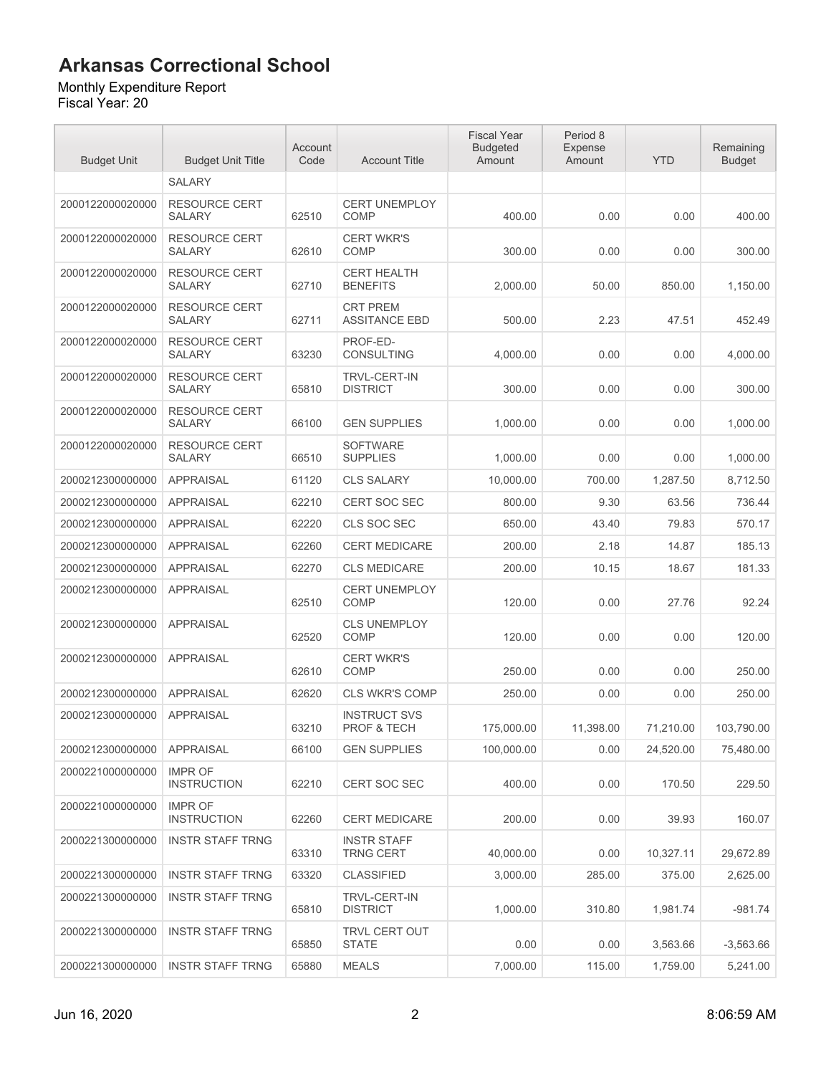#### Monthly Expenditure Report

| <b>Budget Unit</b> | <b>Budget Unit Title</b>              | Account<br>Code | <b>Account Title</b>                          | <b>Fiscal Year</b><br><b>Budgeted</b><br>Amount | Period 8<br>Expense<br>Amount | <b>YTD</b> | Remaining<br><b>Budget</b> |
|--------------------|---------------------------------------|-----------------|-----------------------------------------------|-------------------------------------------------|-------------------------------|------------|----------------------------|
|                    | <b>SALARY</b>                         |                 |                                               |                                                 |                               |            |                            |
| 2000122000020000   | <b>RESOURCE CERT</b><br><b>SALARY</b> | 62510           | <b>CERT UNEMPLOY</b><br><b>COMP</b>           | 400.00                                          | 0.00                          | 0.00       | 400.00                     |
| 2000122000020000   | <b>RESOURCE CERT</b><br><b>SALARY</b> | 62610           | <b>CERT WKR'S</b><br><b>COMP</b>              | 300.00                                          | 0.00                          | 0.00       | 300.00                     |
| 2000122000020000   | <b>RESOURCE CERT</b><br>SALARY        | 62710           | <b>CERT HEALTH</b><br><b>BENEFITS</b>         | 2,000.00                                        | 50.00                         | 850.00     | 1,150.00                   |
| 2000122000020000   | <b>RESOURCE CERT</b><br><b>SALARY</b> | 62711           | <b>CRT PREM</b><br><b>ASSITANCE EBD</b>       | 500.00                                          | 2.23                          | 47.51      | 452.49                     |
| 2000122000020000   | <b>RESOURCE CERT</b><br><b>SALARY</b> | 63230           | PROF-ED-<br><b>CONSULTING</b>                 | 4,000.00                                        | 0.00                          | 0.00       | 4,000.00                   |
| 2000122000020000   | <b>RESOURCE CERT</b><br><b>SALARY</b> | 65810           | <b>TRVL-CERT-IN</b><br><b>DISTRICT</b>        | 300.00                                          | 0.00                          | 0.00       | 300.00                     |
| 2000122000020000   | <b>RESOURCE CERT</b><br><b>SALARY</b> | 66100           | <b>GEN SUPPLIES</b>                           | 1,000.00                                        | 0.00                          | 0.00       | 1,000.00                   |
| 2000122000020000   | <b>RESOURCE CERT</b><br><b>SALARY</b> | 66510           | <b>SOFTWARE</b><br><b>SUPPLIES</b>            | 1,000.00                                        | 0.00                          | 0.00       | 1,000.00                   |
| 2000212300000000   | <b>APPRAISAL</b>                      | 61120           | <b>CLS SALARY</b>                             | 10,000.00                                       | 700.00                        | 1,287.50   | 8,712.50                   |
| 2000212300000000   | <b>APPRAISAL</b>                      | 62210           | <b>CERT SOC SEC</b>                           | 800.00                                          | 9.30                          | 63.56      | 736.44                     |
| 2000212300000000   | <b>APPRAISAL</b>                      | 62220           | CLS SOC SEC                                   | 650.00                                          | 43.40                         | 79.83      | 570.17                     |
| 2000212300000000   | <b>APPRAISAL</b>                      | 62260           | <b>CERT MEDICARE</b>                          | 200.00                                          | 2.18                          | 14.87      | 185.13                     |
| 2000212300000000   | <b>APPRAISAL</b>                      | 62270           | <b>CLS MEDICARE</b>                           | 200.00                                          | 10.15                         | 18.67      | 181.33                     |
| 2000212300000000   | <b>APPRAISAL</b>                      | 62510           | <b>CERT UNEMPLOY</b><br>COMP                  | 120.00                                          | 0.00                          | 27.76      | 92.24                      |
| 2000212300000000   | <b>APPRAISAL</b>                      | 62520           | <b>CLS UNEMPLOY</b><br><b>COMP</b>            | 120.00                                          | 0.00                          | 0.00       | 120.00                     |
| 2000212300000000   | <b>APPRAISAL</b>                      | 62610           | <b>CERT WKR'S</b><br><b>COMP</b>              | 250.00                                          | 0.00                          | 0.00       | 250.00                     |
| 2000212300000000   | <b>APPRAISAL</b>                      | 62620           | <b>CLS WKR'S COMP</b>                         | 250.00                                          | 0.00                          | 0.00       | 250.00                     |
| 2000212300000000   | <b>APPRAISAL</b>                      | 63210           | <b>INSTRUCT SVS</b><br><b>PROF &amp; TECH</b> | 175,000.00                                      | 11,398.00                     | 71,210.00  | 103.790.00                 |
| 2000212300000000   | <b>APPRAISAL</b>                      | 66100           | <b>GEN SUPPLIES</b>                           | 100.000.00                                      | 0.00                          | 24,520.00  | 75,480.00                  |
| 2000221000000000   | <b>IMPR OF</b><br><b>INSTRUCTION</b>  | 62210           | <b>CERT SOC SEC</b>                           | 400.00                                          | 0.00                          | 170.50     | 229.50                     |
| 2000221000000000   | <b>IMPR OF</b><br><b>INSTRUCTION</b>  | 62260           | <b>CERT MEDICARE</b>                          | 200.00                                          | 0.00                          | 39.93      | 160.07                     |
| 2000221300000000   | <b>INSTR STAFF TRNG</b>               | 63310           | <b>INSTR STAFF</b><br><b>TRNG CERT</b>        | 40,000.00                                       | 0.00                          | 10,327.11  | 29,672.89                  |
| 2000221300000000   | <b>INSTR STAFF TRNG</b>               | 63320           | <b>CLASSIFIED</b>                             | 3,000.00                                        | 285.00                        | 375.00     | 2,625.00                   |
| 2000221300000000   | <b>INSTR STAFF TRNG</b>               | 65810           | <b>TRVL-CERT-IN</b><br><b>DISTRICT</b>        | 1,000.00                                        | 310.80                        | 1,981.74   | $-981.74$                  |
| 2000221300000000   | <b>INSTR STAFF TRNG</b>               | 65850           | TRVL CERT OUT<br><b>STATE</b>                 | 0.00                                            | 0.00                          | 3,563.66   | $-3,563.66$                |
| 2000221300000000   | <b>INSTR STAFF TRNG</b>               | 65880           | <b>MEALS</b>                                  | 7,000.00                                        | 115.00                        | 1,759.00   | 5,241.00                   |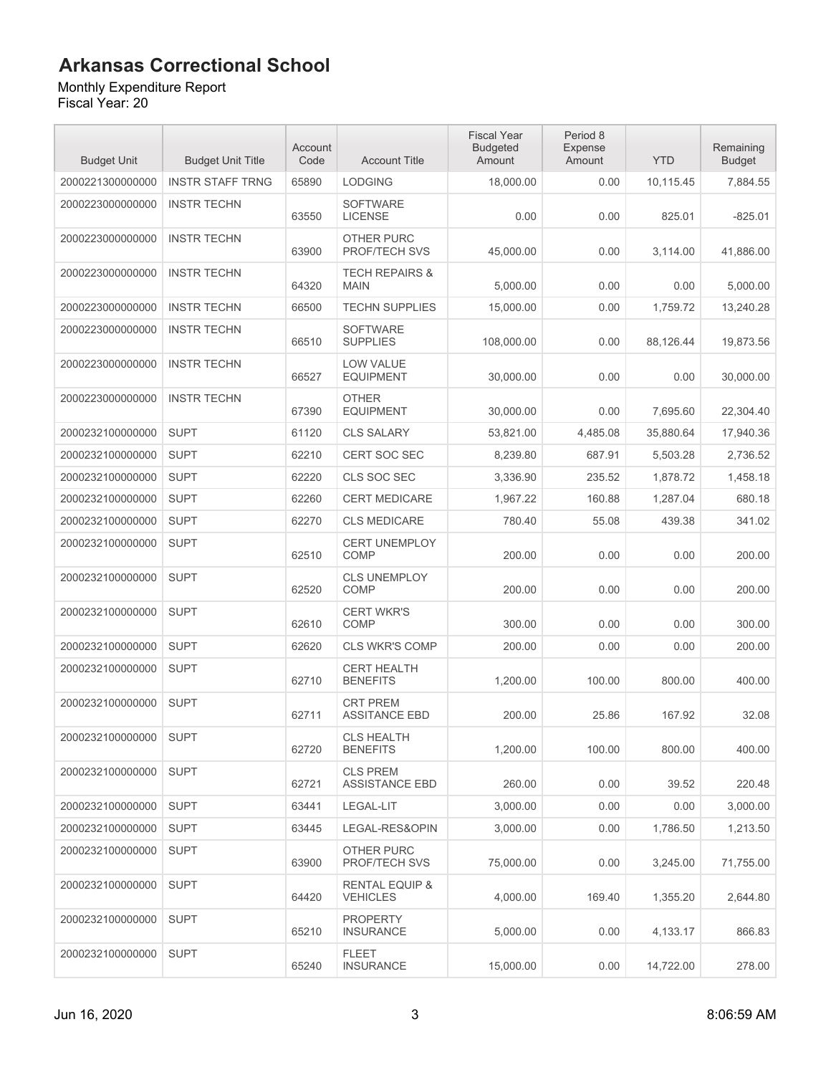#### Monthly Expenditure Report

| <b>Budget Unit</b> | <b>Budget Unit Title</b> | Account<br>Code | <b>Account Title</b>                     | <b>Fiscal Year</b><br><b>Budgeted</b><br>Amount | Period 8<br>Expense<br>Amount | <b>YTD</b> | Remaining<br><b>Budget</b> |
|--------------------|--------------------------|-----------------|------------------------------------------|-------------------------------------------------|-------------------------------|------------|----------------------------|
| 2000221300000000   | <b>INSTR STAFF TRNG</b>  | 65890           | <b>LODGING</b>                           | 18,000.00                                       | 0.00                          | 10,115.45  | 7,884.55                   |
| 2000223000000000   | <b>INSTR TECHN</b>       | 63550           | <b>SOFTWARE</b><br><b>LICENSE</b>        | 0.00                                            | 0.00                          | 825.01     | $-825.01$                  |
| 2000223000000000   | <b>INSTR TECHN</b>       | 63900           | OTHER PURC<br><b>PROF/TECH SVS</b>       | 45,000.00                                       | 0.00                          | 3,114.00   | 41,886.00                  |
| 2000223000000000   | <b>INSTR TECHN</b>       | 64320           | <b>TECH REPAIRS &amp;</b><br><b>MAIN</b> | 5,000.00                                        | 0.00                          | 0.00       | 5,000.00                   |
| 2000223000000000   | <b>INSTR TECHN</b>       | 66500           | <b>TECHN SUPPLIES</b>                    | 15,000.00                                       | 0.00                          | 1,759.72   | 13,240.28                  |
| 2000223000000000   | <b>INSTR TECHN</b>       | 66510           | <b>SOFTWARE</b><br><b>SUPPLIES</b>       | 108,000.00                                      | 0.00                          | 88,126.44  | 19,873.56                  |
| 2000223000000000   | <b>INSTR TECHN</b>       | 66527           | <b>LOW VALUE</b><br><b>EQUIPMENT</b>     | 30,000.00                                       | 0.00                          | 0.00       | 30,000.00                  |
| 2000223000000000   | <b>INSTR TECHN</b>       | 67390           | <b>OTHER</b><br><b>EQUIPMENT</b>         | 30,000.00                                       | 0.00                          | 7,695.60   | 22,304.40                  |
| 2000232100000000   | <b>SUPT</b>              | 61120           | <b>CLS SALARY</b>                        | 53,821.00                                       | 4,485.08                      | 35,880.64  | 17,940.36                  |
| 2000232100000000   | <b>SUPT</b>              | 62210           | CERT SOC SEC                             | 8,239.80                                        | 687.91                        | 5,503.28   | 2,736.52                   |
| 2000232100000000   | <b>SUPT</b>              | 62220           | CLS SOC SEC                              | 3,336.90                                        | 235.52                        | 1,878.72   | 1.458.18                   |
| 2000232100000000   | <b>SUPT</b>              | 62260           | <b>CERT MEDICARE</b>                     | 1,967.22                                        | 160.88                        | 1,287.04   | 680.18                     |
| 2000232100000000   | <b>SUPT</b>              | 62270           | <b>CLS MEDICARE</b>                      | 780.40                                          | 55.08                         | 439.38     | 341.02                     |
| 2000232100000000   | <b>SUPT</b>              | 62510           | <b>CERT UNEMPLOY</b><br>COMP             | 200.00                                          | 0.00                          | 0.00       | 200.00                     |
| 2000232100000000   | <b>SUPT</b>              | 62520           | <b>CLS UNEMPLOY</b><br>COMP              | 200.00                                          | 0.00                          | 0.00       | 200.00                     |
| 2000232100000000   | <b>SUPT</b>              | 62610           | <b>CERT WKR'S</b><br>COMP                | 300.00                                          | 0.00                          | 0.00       | 300.00                     |
| 2000232100000000   | <b>SUPT</b>              | 62620           | <b>CLS WKR'S COMP</b>                    | 200.00                                          | 0.00                          | 0.00       | 200.00                     |
| 2000232100000000   | <b>SUPT</b>              | 62710           | <b>CERT HEALTH</b><br><b>BENEFITS</b>    | 1,200.00                                        | 100.00                        | 800.00     | 400.00                     |
| 2000232100000000   | <b>SUPT</b>              | 62711           | <b>CRT PREM</b><br><b>ASSITANCE EBD</b>  | 200.00                                          | 25.86                         | 167.92     | 32.08                      |
| 2000232100000000   | <b>SUPT</b>              | 62720           | <b>CLS HEALTH</b><br><b>BENEFITS</b>     | 1,200.00                                        | 100.00                        | 800.00     | 400.00                     |
| 2000232100000000   | <b>SUPT</b>              | 62721           | <b>CLS PREM</b><br><b>ASSISTANCE EBD</b> | 260.00                                          | 0.00                          | 39.52      | 220.48                     |
| 2000232100000000   | <b>SUPT</b>              | 63441           | LEGAL-LIT                                | 3,000.00                                        | 0.00                          | 0.00       | 3,000.00                   |
| 2000232100000000   | <b>SUPT</b>              | 63445           | LEGAL-RES&OPIN                           | 3,000.00                                        | 0.00                          | 1,786.50   | 1,213.50                   |
| 2000232100000000   | <b>SUPT</b>              | 63900           | OTHER PURC<br><b>PROF/TECH SVS</b>       | 75,000.00                                       | 0.00                          | 3,245.00   | 71,755.00                  |
| 2000232100000000   | <b>SUPT</b>              | 64420           | RENTAL EQUIP &<br><b>VEHICLES</b>        | 4,000.00                                        | 169.40                        | 1,355.20   | 2,644.80                   |
| 2000232100000000   | <b>SUPT</b>              | 65210           | <b>PROPERTY</b><br><b>INSURANCE</b>      | 5,000.00                                        | 0.00                          | 4,133.17   | 866.83                     |
| 2000232100000000   | <b>SUPT</b>              | 65240           | FLEET<br><b>INSURANCE</b>                | 15,000.00                                       | 0.00                          | 14,722.00  | 278.00                     |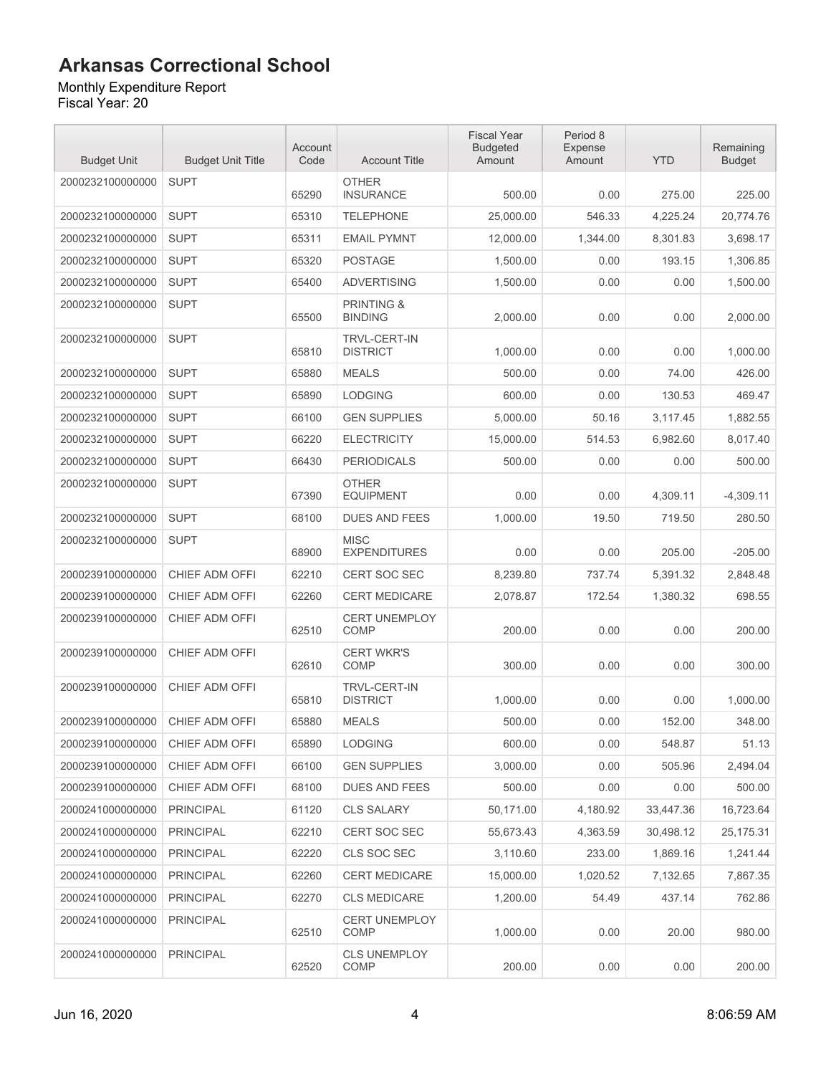Monthly Expenditure Report Fiscal Year: 20

| <b>Budget Unit</b> | <b>Budget Unit Title</b> | Account<br>Code | <b>Account Title</b>                    | <b>Fiscal Year</b><br><b>Budgeted</b><br>Amount | Period 8<br>Expense<br>Amount | <b>YTD</b> | Remaining<br><b>Budget</b> |
|--------------------|--------------------------|-----------------|-----------------------------------------|-------------------------------------------------|-------------------------------|------------|----------------------------|
| 2000232100000000   | <b>SUPT</b>              | 65290           | <b>OTHER</b><br><b>INSURANCE</b>        | 500.00                                          | 0.00                          | 275.00     | 225.00                     |
| 2000232100000000   | <b>SUPT</b>              | 65310           | <b>TELEPHONE</b>                        | 25.000.00                                       | 546.33                        | 4,225.24   | 20,774.76                  |
| 2000232100000000   | <b>SUPT</b>              | 65311           | <b>EMAIL PYMNT</b>                      | 12,000.00                                       | 1,344.00                      | 8,301.83   | 3,698.17                   |
| 2000232100000000   | <b>SUPT</b>              | 65320           | <b>POSTAGE</b>                          | 1,500.00                                        | 0.00                          | 193.15     | 1,306.85                   |
| 2000232100000000   | <b>SUPT</b>              | 65400           | <b>ADVERTISING</b>                      | 1.500.00                                        | 0.00                          | 0.00       | 1,500.00                   |
| 2000232100000000   | <b>SUPT</b>              | 65500           | <b>PRINTING &amp;</b><br><b>BINDING</b> | 2,000.00                                        | 0.00                          | 0.00       | 2,000.00                   |
| 2000232100000000   | <b>SUPT</b>              | 65810           | <b>TRVL-CERT-IN</b><br><b>DISTRICT</b>  | 1,000.00                                        | 0.00                          | 0.00       | 1,000.00                   |
| 2000232100000000   | <b>SUPT</b>              | 65880           | <b>MEALS</b>                            | 500.00                                          | 0.00                          | 74.00      | 426.00                     |
| 2000232100000000   | <b>SUPT</b>              | 65890           | <b>LODGING</b>                          | 600.00                                          | 0.00                          | 130.53     | 469.47                     |
| 2000232100000000   | <b>SUPT</b>              | 66100           | <b>GEN SUPPLIES</b>                     | 5.000.00                                        | 50.16                         | 3,117.45   | 1,882.55                   |
| 2000232100000000   | <b>SUPT</b>              | 66220           | <b>ELECTRICITY</b>                      | 15,000.00                                       | 514.53                        | 6,982.60   | 8,017.40                   |
| 2000232100000000   | <b>SUPT</b>              | 66430           | <b>PERIODICALS</b>                      | 500.00                                          | 0.00                          | 0.00       | 500.00                     |
| 2000232100000000   | <b>SUPT</b>              | 67390           | <b>OTHER</b><br><b>EQUIPMENT</b>        | 0.00                                            | 0.00                          | 4,309.11   | $-4,309.11$                |
| 2000232100000000   | <b>SUPT</b>              | 68100           | <b>DUES AND FEES</b>                    | 1,000.00                                        | 19.50                         | 719.50     | 280.50                     |
| 2000232100000000   | <b>SUPT</b>              | 68900           | <b>MISC</b><br><b>EXPENDITURES</b>      | 0.00                                            | 0.00                          | 205.00     | $-205.00$                  |
| 2000239100000000   | CHIEF ADM OFFI           | 62210           | <b>CERT SOC SEC</b>                     | 8,239.80                                        | 737.74                        | 5,391.32   | 2,848.48                   |
| 2000239100000000   | CHIEF ADM OFFI           | 62260           | <b>CERT MEDICARE</b>                    | 2,078.87                                        | 172.54                        | 1,380.32   | 698.55                     |
| 2000239100000000   | CHIEF ADM OFFI           | 62510           | <b>CERT UNEMPLOY</b><br><b>COMP</b>     | 200.00                                          | 0.00                          | 0.00       | 200.00                     |
| 2000239100000000   | CHIEF ADM OFFI           | 62610           | <b>CERT WKR'S</b><br><b>COMP</b>        | 300.00                                          | 0.00                          | 0.00       | 300.00                     |
| 2000239100000000   | CHIEF ADM OFFI           | 65810           | <b>TRVL-CERT-IN</b><br><b>DISTRICT</b>  | 1,000.00                                        | 0.00                          | 0.00       | 1,000.00                   |
| 2000239100000000   | CHIEF ADM OFFI           | 65880           | <b>MEALS</b>                            | 500.00                                          | 0.00                          | 152.00     | 348.00                     |
| 2000239100000000   | CHIEF ADM OFFI           | 65890           | <b>LODGING</b>                          | 600.00                                          | 0.00                          | 548.87     | 51.13                      |
| 2000239100000000   | CHIEF ADM OFFI           | 66100           | <b>GEN SUPPLIES</b>                     | 3,000.00                                        | 0.00                          | 505.96     | 2,494.04                   |
| 2000239100000000   | CHIEF ADM OFFI           | 68100           | DUES AND FEES                           | 500.00                                          | 0.00                          | 0.00       | 500.00                     |
| 2000241000000000   | <b>PRINCIPAL</b>         | 61120           | <b>CLS SALARY</b>                       | 50,171.00                                       | 4,180.92                      | 33,447.36  | 16,723.64                  |
| 2000241000000000   | <b>PRINCIPAL</b>         | 62210           | CERT SOC SEC                            | 55,673.43                                       | 4,363.59                      | 30,498.12  | 25,175.31                  |
| 2000241000000000   | <b>PRINCIPAL</b>         | 62220           | CLS SOC SEC                             | 3,110.60                                        | 233.00                        | 1,869.16   | 1,241.44                   |
| 2000241000000000   | <b>PRINCIPAL</b>         | 62260           | <b>CERT MEDICARE</b>                    | 15,000.00                                       | 1,020.52                      | 7,132.65   | 7,867.35                   |
| 2000241000000000   | <b>PRINCIPAL</b>         | 62270           | <b>CLS MEDICARE</b>                     | 1,200.00                                        | 54.49                         | 437.14     | 762.86                     |
| 2000241000000000   | <b>PRINCIPAL</b>         | 62510           | <b>CERT UNEMPLOY</b><br>COMP            | 1,000.00                                        | 0.00                          | 20.00      | 980.00                     |
| 2000241000000000   | <b>PRINCIPAL</b>         | 62520           | <b>CLS UNEMPLOY</b><br>COMP             | 200.00                                          | 0.00                          | 0.00       | 200.00                     |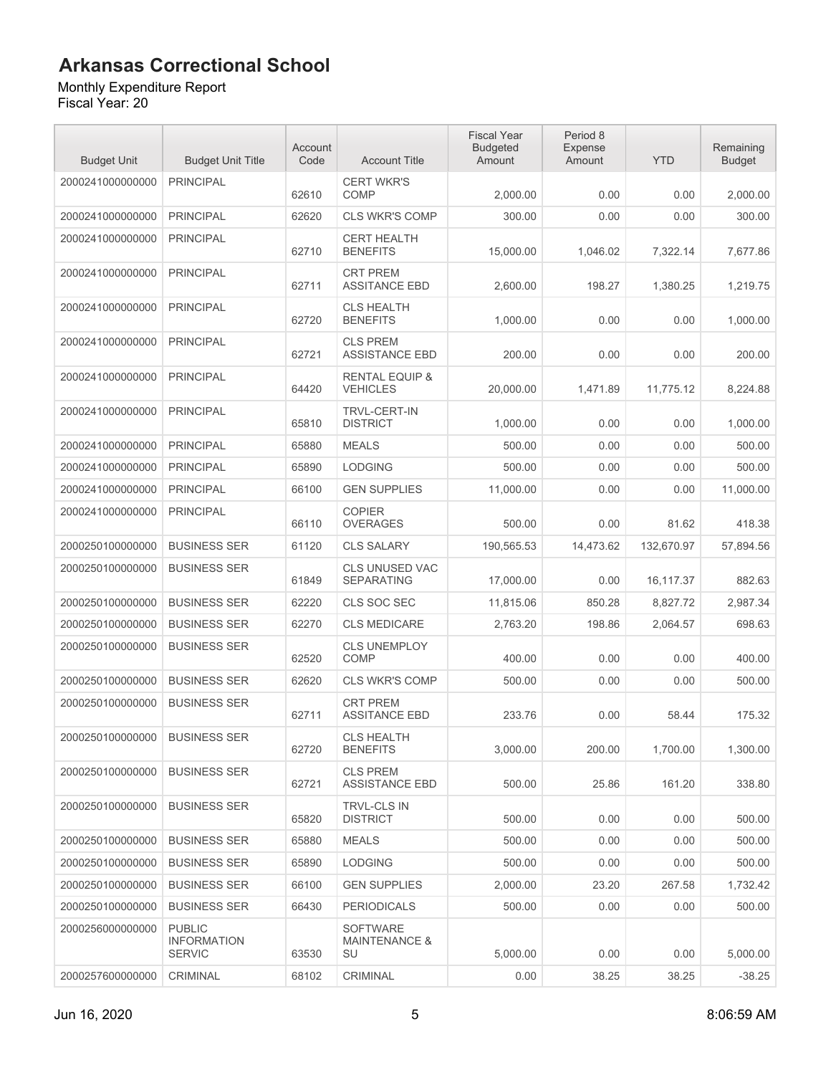#### Monthly Expenditure Report

| <b>Budget Unit</b> | <b>Budget Unit Title</b>                             | Account<br>Code | <b>Account Title</b>                              | <b>Fiscal Year</b><br><b>Budgeted</b><br>Amount | Period 8<br>Expense<br>Amount | <b>YTD</b> | Remaining<br><b>Budget</b> |
|--------------------|------------------------------------------------------|-----------------|---------------------------------------------------|-------------------------------------------------|-------------------------------|------------|----------------------------|
| 2000241000000000   | <b>PRINCIPAL</b>                                     | 62610           | <b>CERT WKR'S</b><br>COMP                         | 2,000.00                                        | 0.00                          | 0.00       | 2,000.00                   |
| 2000241000000000   | <b>PRINCIPAL</b>                                     | 62620           | <b>CLS WKR'S COMP</b>                             | 300.00                                          | 0.00                          | 0.00       | 300.00                     |
| 2000241000000000   | <b>PRINCIPAL</b>                                     | 62710           | <b>CERT HEALTH</b><br><b>BENEFITS</b>             | 15,000.00                                       | 1,046.02                      | 7,322.14   | 7,677.86                   |
| 2000241000000000   | <b>PRINCIPAL</b>                                     | 62711           | <b>CRT PREM</b><br><b>ASSITANCE EBD</b>           | 2,600.00                                        | 198.27                        | 1,380.25   | 1,219.75                   |
| 2000241000000000   | <b>PRINCIPAL</b>                                     | 62720           | <b>CLS HEALTH</b><br><b>BENEFITS</b>              | 1.000.00                                        | 0.00                          | 0.00       | 1,000.00                   |
| 2000241000000000   | <b>PRINCIPAL</b>                                     | 62721           | <b>CLS PREM</b><br><b>ASSISTANCE EBD</b>          | 200.00                                          | 0.00                          | 0.00       | 200.00                     |
| 2000241000000000   | <b>PRINCIPAL</b>                                     | 64420           | <b>RENTAL EQUIP &amp;</b><br><b>VEHICLES</b>      | 20,000.00                                       | 1,471.89                      | 11,775.12  | 8,224.88                   |
| 2000241000000000   | <b>PRINCIPAL</b>                                     | 65810           | <b>TRVL-CERT-IN</b><br><b>DISTRICT</b>            | 1,000.00                                        | 0.00                          | 0.00       | 1,000.00                   |
| 2000241000000000   | <b>PRINCIPAL</b>                                     | 65880           | <b>MEALS</b>                                      | 500.00                                          | 0.00                          | 0.00       | 500.00                     |
| 2000241000000000   | <b>PRINCIPAL</b>                                     | 65890           | <b>LODGING</b>                                    | 500.00                                          | 0.00                          | 0.00       | 500.00                     |
| 2000241000000000   | <b>PRINCIPAL</b>                                     | 66100           | <b>GEN SUPPLIES</b>                               | 11,000.00                                       | 0.00                          | 0.00       | 11,000.00                  |
| 2000241000000000   | <b>PRINCIPAL</b>                                     | 66110           | <b>COPIER</b><br><b>OVERAGES</b>                  | 500.00                                          | 0.00                          | 81.62      | 418.38                     |
| 2000250100000000   | <b>BUSINESS SER</b>                                  | 61120           | <b>CLS SALARY</b>                                 | 190,565.53                                      | 14,473.62                     | 132,670.97 | 57,894.56                  |
| 2000250100000000   | <b>BUSINESS SER</b>                                  | 61849           | <b>CLS UNUSED VAC</b><br><b>SEPARATING</b>        | 17,000.00                                       | 0.00                          | 16,117.37  | 882.63                     |
| 2000250100000000   | <b>BUSINESS SER</b>                                  | 62220           | CLS SOC SEC                                       | 11,815.06                                       | 850.28                        | 8,827.72   | 2,987.34                   |
| 2000250100000000   | <b>BUSINESS SER</b>                                  | 62270           | <b>CLS MEDICARE</b>                               | 2,763.20                                        | 198.86                        | 2,064.57   | 698.63                     |
| 2000250100000000   | <b>BUSINESS SER</b>                                  | 62520           | <b>CLS UNEMPLOY</b><br>COMP                       | 400.00                                          | 0.00                          | 0.00       | 400.00                     |
| 2000250100000000   | <b>BUSINESS SER</b>                                  | 62620           | <b>CLS WKR'S COMP</b>                             | 500.00                                          | 0.00                          | 0.00       | 500.00                     |
| 2000250100000000   | <b>BUSINESS SER</b>                                  | 62711           | <b>CRT PREM</b><br><b>ASSITANCE EBD</b>           | 233.76                                          | 0.00                          | 58.44      | 175.32                     |
| 2000250100000000   | <b>BUSINESS SER</b>                                  | 62720           | <b>CLS HEALTH</b><br><b>BENEFITS</b>              | 3,000.00                                        | 200.00                        | 1,700.00   | 1,300.00                   |
| 2000250100000000   | <b>BUSINESS SER</b>                                  | 62721           | <b>CLS PREM</b><br><b>ASSISTANCE EBD</b>          | 500.00                                          | 25.86                         | 161.20     | 338.80                     |
| 2000250100000000   | <b>BUSINESS SER</b>                                  | 65820           | <b>TRVL-CLS IN</b><br><b>DISTRICT</b>             | 500.00                                          | 0.00                          | 0.00       | 500.00                     |
| 2000250100000000   | <b>BUSINESS SER</b>                                  | 65880           | <b>MEALS</b>                                      | 500.00                                          | 0.00                          | 0.00       | 500.00                     |
| 2000250100000000   | <b>BUSINESS SER</b>                                  | 65890           | <b>LODGING</b>                                    | 500.00                                          | 0.00                          | 0.00       | 500.00                     |
| 2000250100000000   | <b>BUSINESS SER</b>                                  | 66100           | <b>GEN SUPPLIES</b>                               | 2,000.00                                        | 23.20                         | 267.58     | 1,732.42                   |
| 2000250100000000   | <b>BUSINESS SER</b>                                  | 66430           | <b>PERIODICALS</b>                                | 500.00                                          | 0.00                          | 0.00       | 500.00                     |
| 2000256000000000   | <b>PUBLIC</b><br><b>INFORMATION</b><br><b>SERVIC</b> | 63530           | <b>SOFTWARE</b><br><b>MAINTENANCE &amp;</b><br>SU | 5,000.00                                        | 0.00                          | 0.00       | 5,000.00                   |
| 2000257600000000   | CRIMINAL                                             | 68102           | CRIMINAL                                          | 0.00                                            | 38.25                         | 38.25      | $-38.25$                   |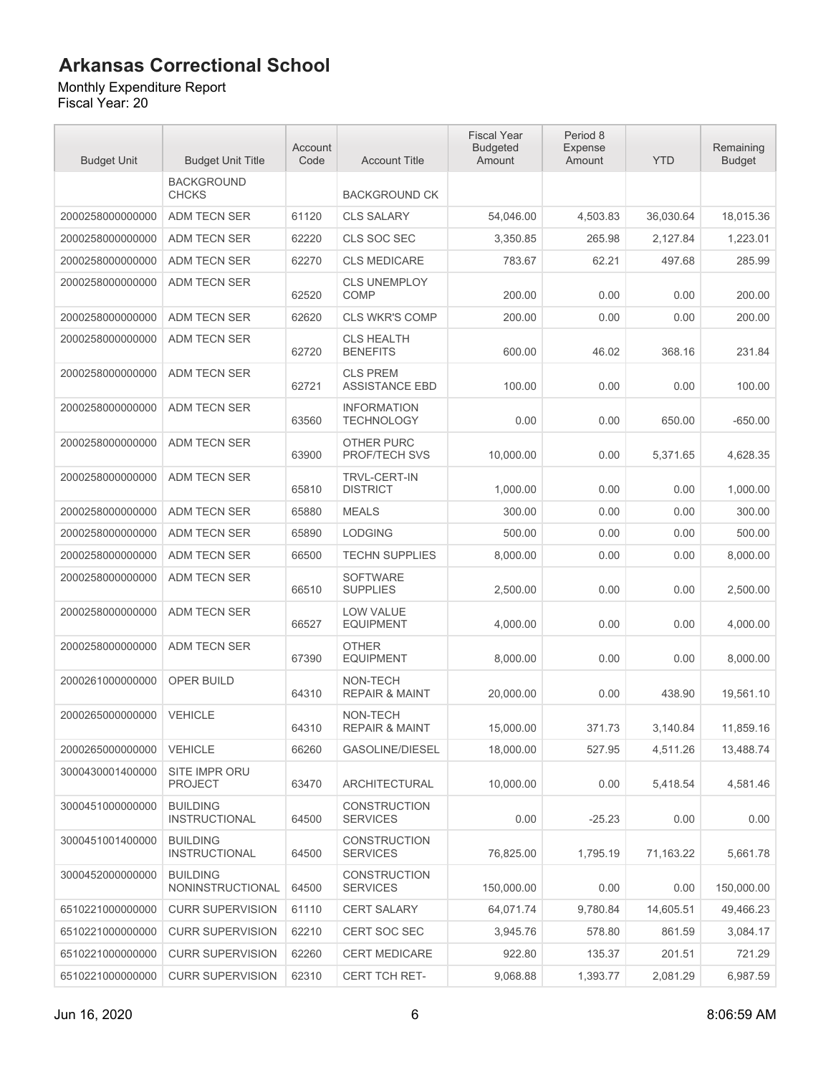#### Monthly Expenditure Report

| <b>Budget Unit</b> | <b>Budget Unit Title</b>                   | Account<br>Code | <b>Account Title</b>                     | <b>Fiscal Year</b><br><b>Budgeted</b><br>Amount | Period 8<br>Expense<br>Amount | <b>YTD</b> | Remaining<br><b>Budget</b> |
|--------------------|--------------------------------------------|-----------------|------------------------------------------|-------------------------------------------------|-------------------------------|------------|----------------------------|
|                    | <b>BACKGROUND</b><br><b>CHCKS</b>          |                 | <b>BACKGROUND CK</b>                     |                                                 |                               |            |                            |
| 2000258000000000   | ADM TECN SER                               | 61120           | <b>CLS SALARY</b>                        | 54,046.00                                       | 4.503.83                      | 36,030.64  | 18,015.36                  |
| 2000258000000000   | ADM TECN SER                               | 62220           | CLS SOC SEC                              | 3,350.85                                        | 265.98                        | 2,127.84   | 1,223.01                   |
| 2000258000000000   | ADM TECN SER                               | 62270           | <b>CLS MEDICARE</b>                      | 783.67                                          | 62.21                         | 497.68     | 285.99                     |
| 2000258000000000   | ADM TECN SER                               | 62520           | <b>CLS UNEMPLOY</b><br><b>COMP</b>       | 200.00                                          | 0.00                          | 0.00       | 200.00                     |
| 2000258000000000   | ADM TECN SER                               | 62620           | <b>CLS WKR'S COMP</b>                    | 200.00                                          | 0.00                          | 0.00       | 200.00                     |
| 2000258000000000   | ADM TECN SER                               | 62720           | <b>CLS HEALTH</b><br><b>BENEFITS</b>     | 600.00                                          | 46.02                         | 368.16     | 231.84                     |
| 2000258000000000   | ADM TECN SER                               | 62721           | <b>CLS PREM</b><br><b>ASSISTANCE EBD</b> | 100.00                                          | 0.00                          | 0.00       | 100.00                     |
| 2000258000000000   | ADM TECN SER                               | 63560           | <b>INFORMATION</b><br><b>TECHNOLOGY</b>  | 0.00                                            | 0.00                          | 650.00     | $-650.00$                  |
| 2000258000000000   | ADM TECN SER                               | 63900           | <b>OTHER PURC</b><br>PROF/TECH SVS       | 10,000.00                                       | 0.00                          | 5,371.65   | 4,628.35                   |
| 2000258000000000   | <b>ADM TECN SER</b>                        | 65810           | <b>TRVL-CERT-IN</b><br><b>DISTRICT</b>   | 1,000.00                                        | 0.00                          | 0.00       | 1,000.00                   |
| 2000258000000000   | <b>ADM TECN SER</b>                        | 65880           | <b>MEALS</b>                             | 300.00                                          | 0.00                          | 0.00       | 300.00                     |
| 2000258000000000   | ADM TECN SER                               | 65890           | <b>LODGING</b>                           | 500.00                                          | 0.00                          | 0.00       | 500.00                     |
| 2000258000000000   | ADM TECN SER                               | 66500           | <b>TECHN SUPPLIES</b>                    | 8,000.00                                        | 0.00                          | 0.00       | 8,000.00                   |
| 2000258000000000   | ADM TECN SER                               | 66510           | <b>SOFTWARE</b><br><b>SUPPLIES</b>       | 2,500.00                                        | 0.00                          | 0.00       | 2,500.00                   |
| 2000258000000000   | ADM TECN SER                               | 66527           | <b>LOW VALUE</b><br><b>EQUIPMENT</b>     | 4,000.00                                        | 0.00                          | 0.00       | 4,000.00                   |
| 2000258000000000   | <b>ADM TECN SER</b>                        | 67390           | <b>OTHER</b><br><b>EQUIPMENT</b>         | 8,000.00                                        | 0.00                          | 0.00       | 8,000.00                   |
| 2000261000000000   | OPER BUILD                                 | 64310           | NON-TECH<br><b>REPAIR &amp; MAINT</b>    | 20,000.00                                       | 0.00                          | 438.90     | 19,561.10                  |
| 2000265000000000   | <b>VEHICLE</b>                             | 64310           | NON-TECH<br><b>REPAIR &amp; MAINT</b>    | 15,000.00                                       | 371.73                        | 3,140.84   | 11,859.16                  |
| 2000265000000000   | <b>VEHICLE</b>                             | 66260           | <b>GASOLINE/DIESEL</b>                   | 18,000.00                                       | 527.95                        | 4,511.26   | 13,488.74                  |
| 3000430001400000   | SITE IMPR ORU<br><b>PROJECT</b>            | 63470           | ARCHITECTURAL                            | 10,000.00                                       | 0.00                          | 5,418.54   | 4,581.46                   |
| 3000451000000000   | <b>BUILDING</b><br><b>INSTRUCTIONAL</b>    | 64500           | <b>CONSTRUCTION</b><br><b>SERVICES</b>   | 0.00                                            | $-25.23$                      | 0.00       | 0.00                       |
| 3000451001400000   | <b>BUILDING</b><br><b>INSTRUCTIONAL</b>    | 64500           | <b>CONSTRUCTION</b><br><b>SERVICES</b>   | 76,825.00                                       | 1,795.19                      | 71,163.22  | 5,661.78                   |
| 3000452000000000   | <b>BUILDING</b><br><b>NONINSTRUCTIONAL</b> | 64500           | <b>CONSTRUCTION</b><br><b>SERVICES</b>   | 150,000.00                                      | 0.00                          | 0.00       | 150,000.00                 |
| 6510221000000000   | <b>CURR SUPERVISION</b>                    | 61110           | <b>CERT SALARY</b>                       | 64,071.74                                       | 9,780.84                      | 14,605.51  | 49,466.23                  |
| 6510221000000000   | <b>CURR SUPERVISION</b>                    | 62210           | CERT SOC SEC                             | 3,945.76                                        | 578.80                        | 861.59     | 3,084.17                   |
| 6510221000000000   | <b>CURR SUPERVISION</b>                    | 62260           | <b>CERT MEDICARE</b>                     | 922.80                                          | 135.37                        | 201.51     | 721.29                     |
| 6510221000000000   | <b>CURR SUPERVISION</b>                    | 62310           | CERT TCH RET-                            | 9,068.88                                        | 1,393.77                      | 2,081.29   | 6,987.59                   |